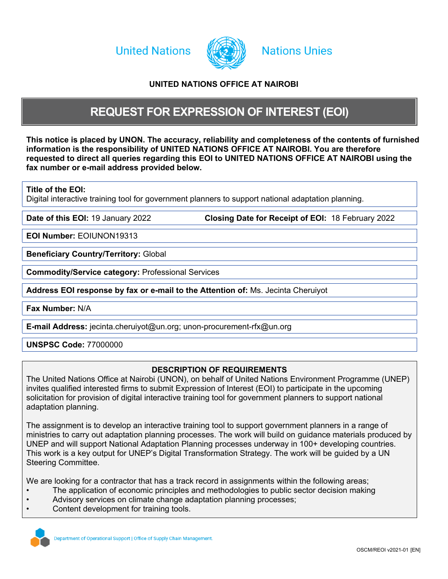**United Nations** 



# **Nations Unies**

## <span id="page-0-0"></span>**UNITED NATIONS OFFICE AT NAIROBI**

# <span id="page-0-2"></span>**REQUEST FOR EXPRESSION OF INTEREST (EOI)**

This noti[c](#page-0-0)e is placed by UNON. The accuracy, reliability and co[mp](#page-0-0)leteness of the contents of furnished **information is the responsibility of [UNITED](#page-0-0) [NATIONS](#page-0-0) [OFFICE](#page-0-0) [AT](#page-0-0) [NAIROBI](#page-0-0). You are therefore requested to direct all queries regarding this EOI to [UNITED](#page-0-0) [NATIONS](#page-0-0) [OFFICE](#page-0-0) [AT](#page-0-0) [NAIROBI](#page-0-0) using the fax number or e-mail address provided below.**

**Title of the EOI:**

Digital interactive training tool for government planners to support national adaptation planning.

**Date of this EOI:** 19 January 2022 **Closing Date for Receipt of EOI:** 18 February 2022

**EOI Number:** EOIUNON19313

**Beneficiary Country/Territory:** Global

**Commodity/Service category:** Professional Services

**Address EOI response by fax or e-mail to the Attention of:** Ms. Jecinta Cheruiyot

**Fax Number:** N/A

<span id="page-0-1"></span>**E-mail Address:** jecinta.cheruiyot@un.org; unon-procurement-rfx@un.org

## **UNSPSC Code:** 77000000

## **DESCRIPTION OF REQUIREMENTS**

The United Nations Office at Nairobi (UNON), on behalf of United Nations Environment Programme (UNEP) invites qualified interested firms to submit Expression of Interest (EOI) to participate in the upcoming solicitation for provision of digital interactive training tool for government planners to support national adaptation planning.

The assignment is to develop an interactive training tool to support government planners in a range of ministries to carry out adaptation planning processes. The work will build on guidance materials produced by UNEP and will support National Adaptation Planning processes underway in 100+ developing countries. This work is a key output for UNEP's Digital Transformation Strategy. The work will be guided by a UN Steering Committee.

We are looking for a contractor that has a track record in assignments within the following areas;

- The application of economic principles and methodologies to public sector decision making
- Advisory services on climate change adaptation planning processes;
- Content development for training tools.

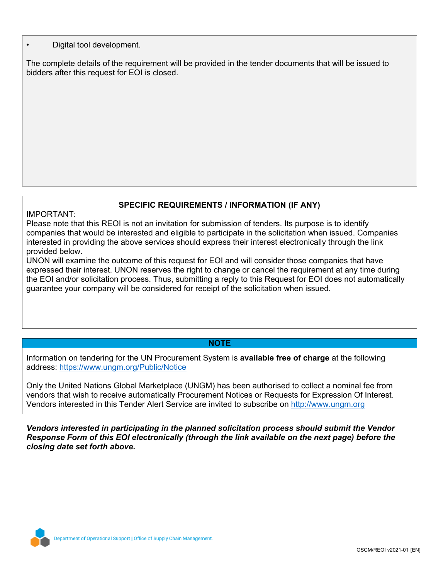## • Digital tool development.

The complete details of the requirement will be provided in the tender documents that will be issued to bidders after this request for EOI is closed.

# **SPECIFIC REQUIREMENTS / INFORMATION (IF ANY)**

## IMPORTANT:

Please note that this REOI is not an invitation for submission of tenders. Its purpose is to identify companies that would be interested and eligible to participate in the solicitation when issued. Companies interested in providing the above services should express their interest electronically through the link provided below.

UNON will examine the outcome of this request for EOI and will consider those companies that have expressed their interest. UNON reserves the right to change or cancel the requirement at any time during the EOI and/or solicitation process. Thus, submitting a reply to this Request for EOI does not automatically guarantee your company will be considered for receipt of the solicitation when issued.

## **NOTE**

Information on tendering for the UN Procurement System is **available free of charge** at the following address: <https://www.ungm.org/Public/Notice>

Only the United Nations Global Marketplace (UNGM) has been authorised to collect a nominal fee from vendors that wish to receive automatically Procurement Notices or Requests for Expression Of Interest. Vendors interested in this Tender Alert Service are invited to subscribe on [http://www.ungm.org](http://www.ungm.org/)

*Vendors interested in participating in the planned solicitation process should submit the Vendor Response Form of this EOI electronically (through the link available on the next page) before the closing date set forth above.*

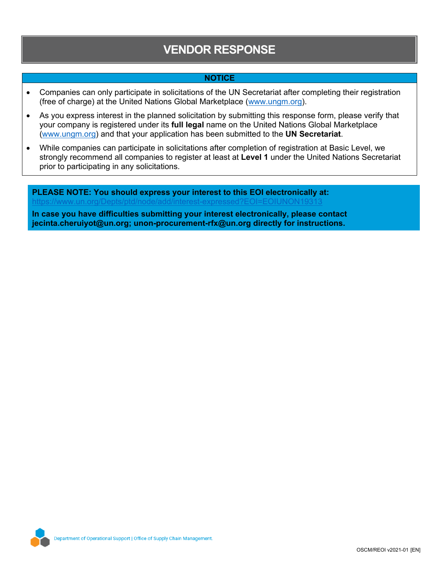# **VENDOR RESPONSE**

## **NOTICE**

- Companies can only participate in solicitations of the UN Secretariat after completing their registration (free of charge) at the United Nations Global Marketplace ([www.ungm.org\)](http://www.ungm.org/).
- As you express interest in the planned solicitation by submitting this response form, please verify that your company is registered under its **full legal** name on the United Nations Global Marketplace ([www.ungm.org\)](http://www.ungm.org/) and that your application has been submitted to the **UN Secretariat**.
- While companies can participate in solicitations after completion of registration at Basic Level, we strongly recommend all companies to register at least at **Level 1** under the United Nations Secretariat prior to participating in any solicitations.

**PLEASE NOTE: You should express your interest to this EOI electronically at:** https://www.un.org/Depts/ptd/node/add/interest-expressed?EOI=EOIUNON19313 **In case you have difficulties submitting your interest electronically, please contact**

**[jecinta.cheruiyot@un.org;](#page-0-1) [unon-procurement-rfx@un.org](#page-0-1) directly for instructions.**